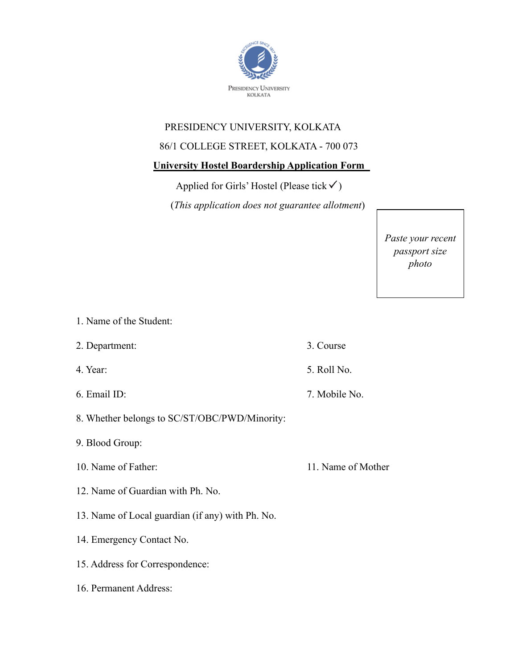

## PRESIDENCY UNIVERSITY, KOLKATA

## 86/1 COLLEGE STREET, KOLKATA - 700 073

## **University Hostel Boardership Application Form**

Applied for Girls' Hostel (Please tick  $\checkmark$ )

(*This application does not guarantee allotment*)

*Paste your recent passport size photo*

1. Name of the Student:

2. Department: 3. Course

4. Year: 5. Roll No.

6. Email ID: 7. Mobile No.

8. Whether belongs to SC/ST/OBC/PWD/Minority:

9. Blood Group:

10. Name of Father: 11. Name of Mother

12. Name of Guardian with Ph. No.

13. Name of Local guardian (if any) with Ph. No.

14. Emergency Contact No.

15. Address for Correspondence:

16. Permanent Address: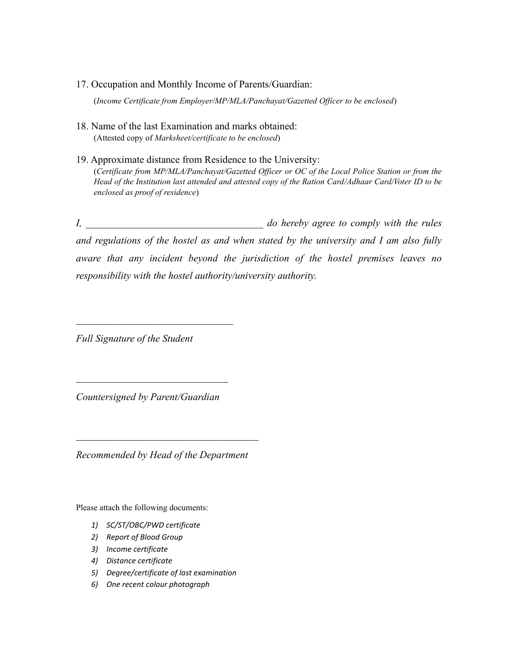17. Occupation and Monthly Income of Parents/Guardian:

(*Income Certificate from Employer/MP/MLA/Panchayat/Gazetted Officer to be enclosed*)

- 18. Name of the last Examination and marks obtained: (Attested copy of *Marksheet/certificate to be enclosed*)
- 19. Approximate distance from Residence to the University: (*Certificate from MP/MLA/Panchayat/Gazetted Officer or OC of the Local Police Station or from the Head of the Institution last attended and attested copy of the Ration Card/Adhaar Card/Voter ID to be enclosed as proof of residence*)

*I, \_\_\_\_\_\_\_\_\_\_\_\_\_\_\_\_\_\_\_\_\_\_\_\_\_\_\_\_\_\_\_\_\_\_\_ do hereby agree to comply with the rules and regulations of the hostel as and when stated by the university and I am also fully aware that any incident beyond the jurisdiction of the hostel premises leaves no responsibility with the hostel authority/university authority.* 

*Full Signature of the Student*

*Countersigned by Parent/Guardian*

*\_\_\_\_\_\_\_\_\_\_\_\_\_\_\_\_\_\_\_\_\_\_\_\_\_\_\_\_\_\_*

*Recommended by Head of the Department*

Please attach the following documents:

- *1) SC/ST/OBC/PWD certificate*
- *2) Report of Blood Group*
- *3) Income certificate*
- *4) Distance certificate*
- *5) Degree/certificate of last examination*
- *6) One recent colour photograph*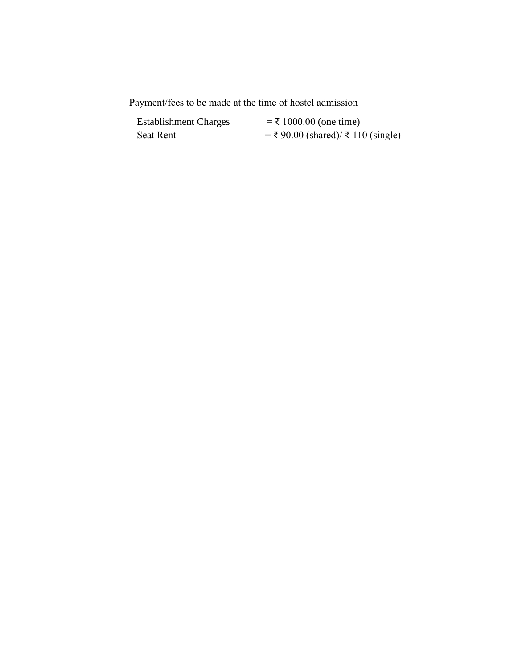Payment/fees to be made at the time of hostel admission

| <b>Establishment Charges</b> | $=$ ₹ 1000.00 (one time)             |
|------------------------------|--------------------------------------|
| Seat Rent                    | $=$ ₹ 90.00 (shared)/ ₹ 110 (single) |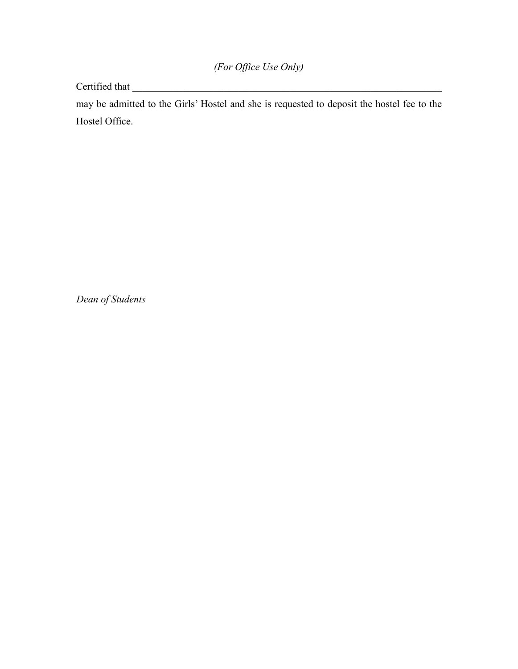Certified that \_\_\_\_\_\_\_\_\_\_\_\_\_\_\_\_\_\_\_\_\_\_\_\_\_\_\_\_\_\_\_\_\_\_\_\_\_\_\_\_\_\_\_\_\_\_\_\_\_\_\_\_\_\_\_\_\_\_\_\_\_

may be admitted to the Girls' Hostel and she is requested to deposit the hostel fee to the Hostel Office.

*Dean of Students*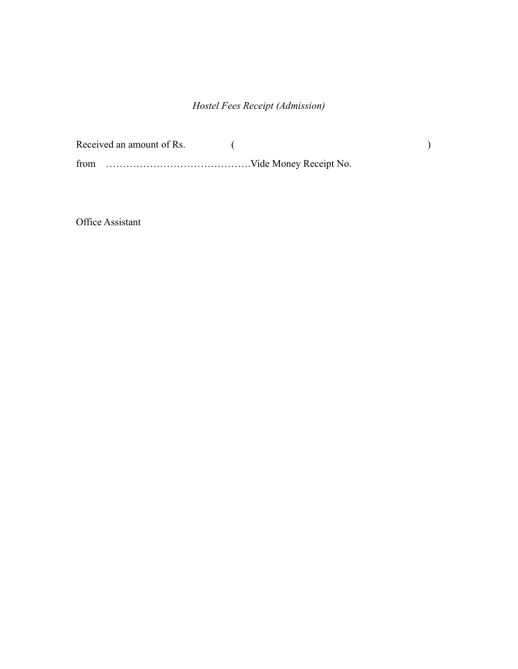## *Hostel Fees Receipt (Admission)*

| Received an amount of Rs. |  |
|---------------------------|--|
|                           |  |

Office Assistant